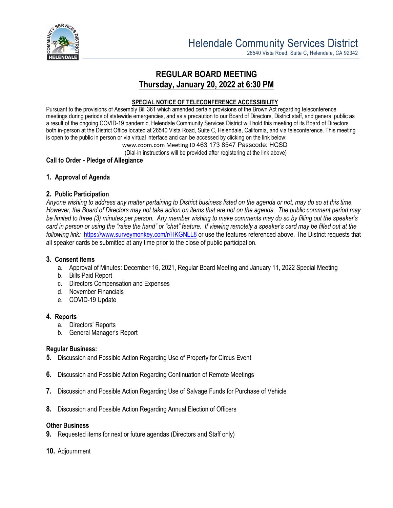

26540 Vista Road, Suite C, Helendale, CA 92342

# **REGULAR BOARD MEETING Thursday, January 20, 2022 at 6:30 PM**

#### **SPECIAL NOTICE OF TELECONFERENCE ACCESSIBILITY**

Pursuant to the provisions of Assembly Bill 361 which amended certain provisions of the Brown Act regarding teleconference meetings during periods of statewide emergencies, and as a precaution to our Board of Directors, District staff, and general public as a result of the ongoing COVID-19 pandemic, Helendale Community Services District will hold this meeting of its Board of Directors both in-person at the District Office located at 26540 Vista Road, Suite C, Helendale, California, and via teleconference. This meeting is open to the public in person or via virtual interface and can be accessed by clicking on the link below:

[www.zoom.com](http://www.zoom.com/) Meeting ID 463 173 8547 Passcode: HCSD

(Dial-in instructions will be provided after registering at the link above)

## **Call to Order - Pledge of Allegiance**

## **1. Approval of Agenda**

## **2. Public Participation**

*Anyone wishing to address any matter pertaining to District business listed on the agenda or not, may do so at this time. However, the Board of Directors may not take action on items that are not on the agenda. The public comment period may be limited to three (3) minutes per person. Any member wishing to make comments may do so by filling out the speaker's card in person or using the "raise the hand" or "chat" feature. If viewing remotely a speaker's card may be filled out at the following link:* <https://www.surveymonkey.com/r/HKGNLL8> or use the features referenced above. The District requests that all speaker cards be submitted at any time prior to the close of public participation.

## **3. Consent Items**

- a. Approval of Minutes: December 16, 2021, Regular Board Meeting and January 11, 2022 Special Meeting
- b. Bills Paid Report
- c. Directors Compensation and Expenses
- d. November Financials
- e. COVID-19 Update

## **4. Reports**

- a. Directors' Reports
- b. General Manager's Report

#### **Regular Business:**

- **5.** Discussion and Possible Action Regarding Use of Property for Circus Event
- **6.** Discussion and Possible Action Regarding Continuation of Remote Meetings
- **7.** Discussion and Possible Action Regarding Use of Salvage Funds for Purchase of Vehicle
- **8.** Discussion and Possible Action Regarding Annual Election of Officers

#### **Other Business**

- **9.** Requested items for next or future agendas (Directors and Staff only)
- **10.** Adjournment